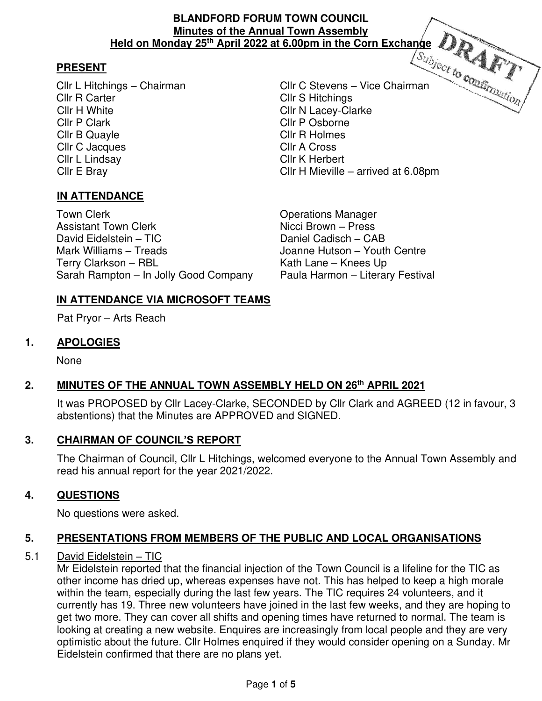### **BLANDFORD FORUM TOWN COUNCIL Minutes of the Annual Town Assembly Held on Monday 25th April 2022 at 6.00pm in the Corn Exchange**

# **PRESENT**

Cllr R Carter Client Cllr S Hitchings Cllr H White Cllr N Lacey-Clarke Cllr P Clark Cllr P Osborne Cllr B Quayle Cllr R Holmes Cllr C Jacques Cllr A Cross Cllr L Lindsay Cllr K Herbert

**IN ATTENDANCE**

Town Clerk **Town Clear Clerk** Clear Clear Clear Clear Clear Clear Clear Clear Clear Clear Clear Clear Clear Clear Assistant Town Clerk Nicci Brown – Press David Eidelstein – TIC Daniel Cadisch – CAB Mark Williams – Treads Joanne Hutson – Youth Centre Terry Clarkson – RBL Kath Lane – Knees Up Sarah Rampton – In Jolly Good Company Paula Harmon – Literary Festival

Cllr L Hitchings – Chairman Cllr C Stevens – Vice Chairman Cllr E Bray Cllr H Mieville – arrived at 6.08pm

# **IN ATTENDANCE VIA MICROSOFT TEAMS**

Pat Pryor – Arts Reach

# **1. APOLOGIES**

None

#### **2. MINUTES OF THE ANNUAL TOWN ASSEMBLY HELD ON 26th APRIL 2021**  $2.$

It was PROPOSED by Cllr Lacey-Clarke, SECONDED by Cllr Clark and AGREED (12 in favour, 3 abstentions) that the Minutes are APPROVED and SIGNED.

# **3. CHAIRMAN OF COUNCIL'S REPORT**

 The Chairman of Council, Cllr L Hitchings, welcomed everyone to the Annual Town Assembly and read his annual report for the year 2021/2022.

# **4. QUESTIONS**

No questions were asked.

# **5. PRESENTATIONS FROM MEMBERS OF THE PUBLIC AND LOCAL ORGANISATIONS**

# 5.1 David Eidelstein – TIC

 Mr Eidelstein reported that the financial injection of the Town Council is a lifeline for the TIC as other income has dried up, whereas expenses have not. This has helped to keep a high morale within the team, especially during the last few years. The TIC requires 24 volunteers, and it currently has 19. Three new volunteers have joined in the last few weeks, and they are hoping to get two more. They can cover all shifts and opening times have returned to normal. The team is looking at creating a new website. Enquires are increasingly from local people and they are very optimistic about the future. Cllr Holmes enquired if they would consider opening on a Sunday. Mr Eidelstein confirmed that there are no plans yet.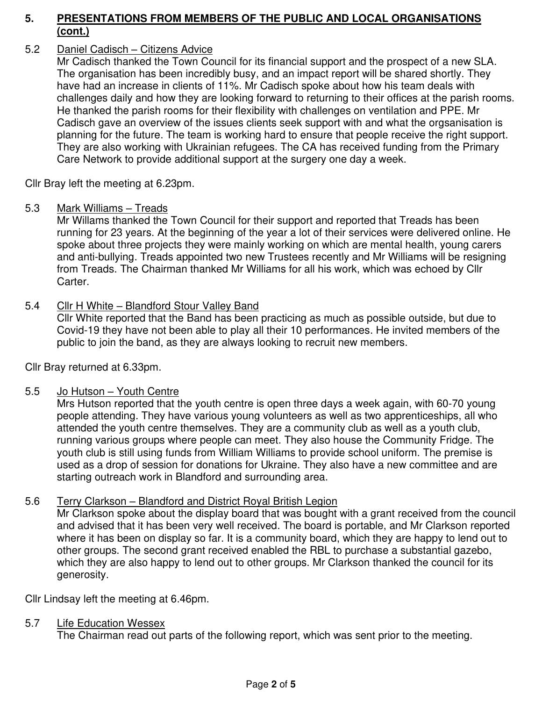### 5.2 Daniel Cadisch – Citizens Advice

Mr Cadisch thanked the Town Council for its financial support and the prospect of a new SLA. The organisation has been incredibly busy, and an impact report will be shared shortly. They have had an increase in clients of 11%. Mr Cadisch spoke about how his team deals with challenges daily and how they are looking forward to returning to their offices at the parish rooms. He thanked the parish rooms for their flexibility with challenges on ventilation and PPE. Mr Cadisch gave an overview of the issues clients seek support with and what the orgsanisation is planning for the future. The team is working hard to ensure that people receive the right support. They are also working with Ukrainian refugees. The CA has received funding from the Primary Care Network to provide additional support at the surgery one day a week.

Cllr Bray left the meeting at 6.23pm.

### 5.3 Mark Williams – Treads

 Mr Willams thanked the Town Council for their support and reported that Treads has been running for 23 years. At the beginning of the year a lot of their services were delivered online. He spoke about three projects they were mainly working on which are mental health, young carers and anti-bullying. Treads appointed two new Trustees recently and Mr Williams will be resigning from Treads. The Chairman thanked Mr Williams for all his work, which was echoed by Cllr Carter.

### 5.4 Cllr H White – Blandford Stour Valley Band

 Cllr White reported that the Band has been practicing as much as possible outside, but due to Covid-19 they have not been able to play all their 10 performances. He invited members of the public to join the band, as they are always looking to recruit new members.

Cllr Bray returned at 6.33pm.

#### 5.5 Jo Hutson – Youth Centre

 Mrs Hutson reported that the youth centre is open three days a week again, with 60-70 young people attending. They have various young volunteers as well as two apprenticeships, all who attended the youth centre themselves. They are a community club as well as a youth club, running various groups where people can meet. They also house the Community Fridge. The youth club is still using funds from William Williams to provide school uniform. The premise is used as a drop of session for donations for Ukraine. They also have a new committee and are starting outreach work in Blandford and surrounding area.

# 5.6 Terry Clarkson – Blandford and District Royal British Legion

 Mr Clarkson spoke about the display board that was bought with a grant received from the council and advised that it has been very well received. The board is portable, and Mr Clarkson reported where it has been on display so far. It is a community board, which they are happy to lend out to other groups. The second grant received enabled the RBL to purchase a substantial gazebo, which they are also happy to lend out to other groups. Mr Clarkson thanked the council for its generosity.

Cllr Lindsay left the meeting at 6.46pm.

#### 5.7 Life Education Wessex

The Chairman read out parts of the following report, which was sent prior to the meeting.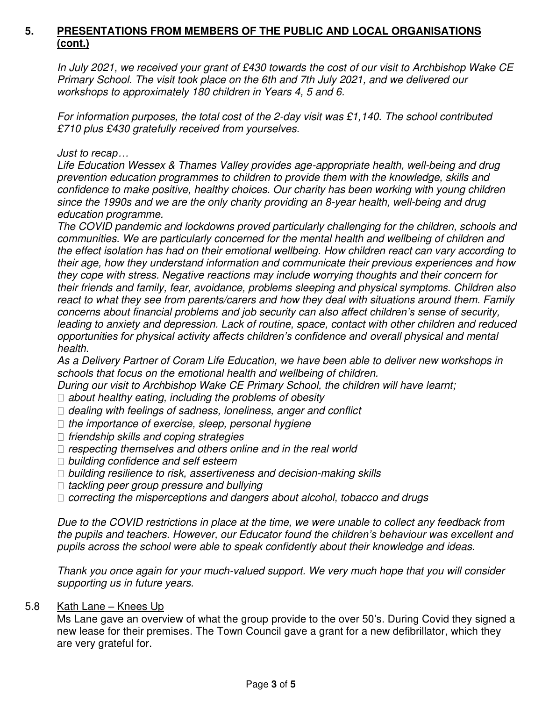*In July 2021, we received your grant of £430 towards the cost of our visit to Archbishop Wake CE Primary School. The visit took place on the 6th and 7th July 2021, and we delivered our workshops to approximately 180 children in Years 4, 5 and 6.* 

*For information purposes, the total cost of the 2-day visit was £1,140. The school contributed £710 plus £430 gratefully received from yourselves.* 

*Just to recap…* 

*Life Education Wessex & Thames Valley provides age-appropriate health, well-being and drug prevention education programmes to children to provide them with the knowledge, skills and confidence to make positive, healthy choices. Our charity has been working with young children since the 1990s and we are the only charity providing an 8-year health, well-being and drug education programme.* 

*The COVID pandemic and lockdowns proved particularly challenging for the children, schools and communities. We are particularly concerned for the mental health and wellbeing of children and the effect isolation has had on their emotional wellbeing. How children react can vary according to their age, how they understand information and communicate their previous experiences and how they cope with stress. Negative reactions may include worrying thoughts and their concern for their friends and family, fear, avoidance, problems sleeping and physical symptoms. Children also react to what they see from parents/carers and how they deal with situations around them. Family concerns about financial problems and job security can also affect children's sense of security, leading to anxiety and depression. Lack of routine, space, contact with other children and reduced opportunities for physical activity affects children's confidence and overall physical and mental health.* 

*As a Delivery Partner of Coram Life Education, we have been able to deliver new workshops in schools that focus on the emotional health and wellbeing of children.* 

*During our visit to Archbishop Wake CE Primary School, the children will have learnt;* 

- *about healthy eating, including the problems of obesity*
- *dealing with feelings of sadness, loneliness, anger and conflict*
- *the importance of exercise, sleep, personal hygiene*
- *friendship skills and coping strategies*
- *respecting themselves and others online and in the real world*
- *building confidence and self esteem*
- *building resilience to risk, assertiveness and decision-making skills*
- *tackling peer group pressure and bullying*
- *correcting the misperceptions and dangers about alcohol, tobacco and drugs*

*Due to the COVID restrictions in place at the time, we were unable to collect any feedback from the pupils and teachers. However, our Educator found the children's behaviour was excellent and pupils across the school were able to speak confidently about their knowledge and ideas.* 

*Thank you once again for your much-valued support. We very much hope that you will consider supporting us in future years.* 

5.8 Kath Lane – Knees Up

 Ms Lane gave an overview of what the group provide to the over 50's. During Covid they signed a new lease for their premises. The Town Council gave a grant for a new defibrillator, which they are very grateful for.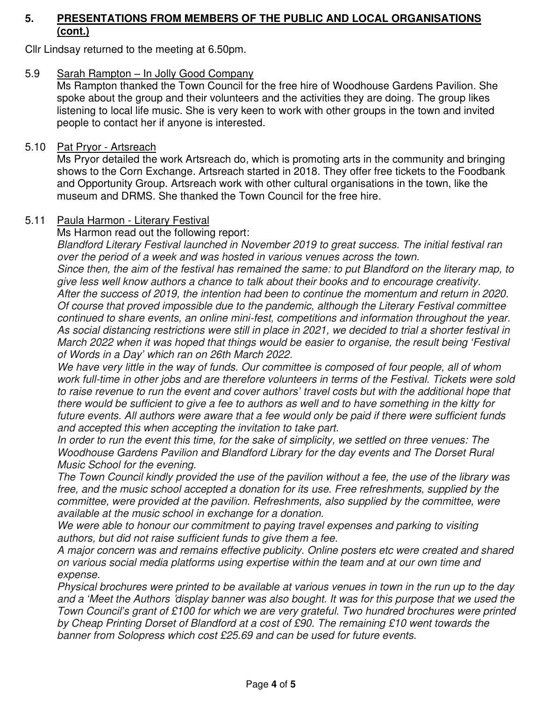Cllr Lindsay returned to the meeting at 6.50pm.

### 5.9 Sarah Rampton – In Jolly Good Company

 Ms Rampton thanked the Town Council for the free hire of Woodhouse Gardens Pavilion. She spoke about the group and their volunteers and the activities they are doing. The group likes listening to local life music. She is very keen to work with other groups in the town and invited people to contact her if anyone is interested.

#### 5.10 Pat Pryor - Artsreach

Ms Pryor detailed the work Artsreach do, which is promoting arts in the community and bringing shows to the Corn Exchange. Artsreach started in 2018. They offer free tickets to the Foodbank and Opportunity Group. Artsreach work with other cultural organisations in the town, like the museum and DRMS. She thanked the Town Council for the free hire.

#### 5.11 Paula Harmon - Literary Festival

Ms Harmon read out the following report:

*Blandford Literary Festival launched in November 2019 to great success. The initial festival ran over the period of a week and was hosted in various venues across the town.* 

*Since then, the aim of the festival has remained the same: to put Blandford on the literary map, to give less well know authors a chance to talk about their books and to encourage creativity. After the success of 2019, the intention had been to continue the momentum and return in 2020. Of course that proved impossible due to the pandemic, although the Literary Festival committee continued to share events, an online mini-fest, competitions and information throughout the year. As social distancing restrictions were still in place in 2021, we decided to trial a shorter festival in March 2022 when it was hoped that things would be easier to organise, the result being 'Festival of Words in a Day' which ran on 26th March 2022.* 

*We have very little in the way of funds. Our committee is composed of four people, all of whom work full-time in other jobs and are therefore volunteers in terms of the Festival. Tickets were sold to raise revenue to run the event and cover authors' travel costs but with the additional hope that there would be sufficient to give a fee to authors as well and to have something in the kitty for future events. All authors were aware that a fee would only be paid if there were sufficient funds and accepted this when accepting the invitation to take part.* 

In order to run the event this time, for the sake of simplicity, we settled on three venues: The *Woodhouse Gardens Pavilion and Blandford Library for the day events and The Dorset Rural Music School for the evening.* 

*The Town Council kindly provided the use of the pavilion without a fee, the use of the library was free, and the music school accepted a donation for its use. Free refreshments, supplied by the*  committee, were provided at the pavilion. Refreshments, also supplied by the committee, were *available at the music school in exchange for a donation.* 

We were able to honour our commitment to paying travel expenses and parking to visiting *authors, but did not raise sufficient funds to give them a fee.* 

*A major concern was and remains effective publicity. Online posters etc were created and shared on various social media platforms using expertise within the team and at our own time and expense.* 

*Physical brochures were printed to be available at various venues in town in the run up to the day and a 'Meet the Authors* '*display banner was also bought. It was for this purpose that we used the Town Council's grant of £100 for which we are very grateful. Two hundred brochures were printed by Cheap Printing Dorset of Blandford at a cost of £90. The remaining £10 went towards the banner from Solopress which cost £25.69 and can be used for future events.*